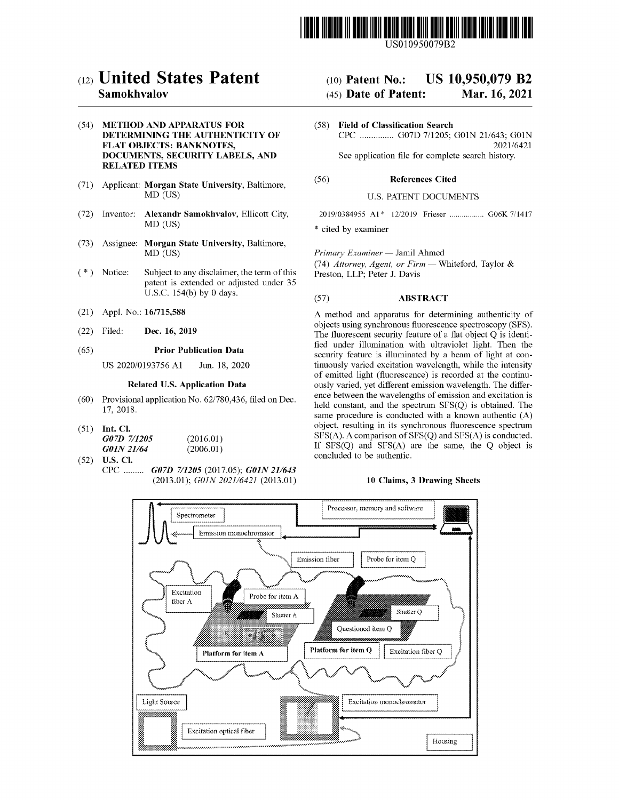

USO10950079B2

## ( 12 ) United States Patent

### Samokhvalov

### (54) METHOD AND APPARATUS FOR DETERMINING THE AUTHENTICITY OF<br>FLAT OBJECTS: BANKNOTES, DOCUMENTS, SECURITY LABELS, AND RELATED ITEMS

- (71) Applicant: **Morgan State University**, Baltimore, (56) **References Cited** MD (US) U.S. PATENT DOCUMENTS
- (72) Inventor: Alexandr Samokhvalov, Ellicott City, 2019/0384955 A1 \* 12/2019 Frieser manufactures. Go6K 7/1417  $MD$  ( $US$ )
- (73) Assignee: Morgan State University, Baltimore, MD (US)
- patent is extended or adjusted under 35 U.S.C. 154(b) by 0 days.
- (21) Appl. No.: 16/715,588
- (22) Filed: Dec. 16, 2019

### (65) **Prior Publication Data**

US 2020/0193756 A1 Jun. 18, 2020

### Related U.S. Application Data

- $(60)$  Provisional application No.  $62/780,436$ , filed on Dec. 17, 2018.
- (51) Int. Cl.<br>  $G07D$  7/1205 (2016.01)<br>  $G01N$  21/64 (2006.01)
- $G01N$  21/64<br>(52) U.S. Cl. CPC ......... G07D 7/1205 (2017.05); G01N 21/643 (2013.01); GOIN 2021/6421 (2013.01) 10 Claims, 3 Drawing Sheets

# (10) Patent No.: US 10,950,079 B2<br>(45) Date of Patent: Mar. 16, 2021

### $(45)$  Date of Patent:

( 58 ) Field of Classification Search CPC ............... G07D 7/1205; G01N 21/643; G01N 2021/6421 See application file for complete search history.

\* cited by examiner

Primary Examiner — Jamil Ahmed

(\*) Notice: Subject to any disclaimer, the term of this (74) Attorney, Agent, or Firm — Whiteford, Taylor &  $P$ reston, LLP; Peter J. Davis

### $(B7)$  **ABSTRACT**

A method and apparatus for determining authenticity of objects using synchronous fluorescence spectroscopy (SFS). The fluorescent security feature of a flat object  $Q$  is identified under illumination with ultraviolet light. Then the security feature is illuminated by a beam of light at continuously varied excitation wavelength, while the intensity of emitted light (fluorescence) is recorded at the continuously varied, yet different emission wavelength. The difference between the wavelengths of emission and excitation is held constant, and the spectrum  $SFS(Q)$  is obtained. The same procedure is conducted with a known authentic  $(A)$ object, resulting in its synchronous fluorescence spectrum SFS(A). A comparison of SFS(Q) and SFS(A) is conducted. If  $SFS(Q)$  and  $SFS(A)$  are the same, the Q object is concluded to be authentic.

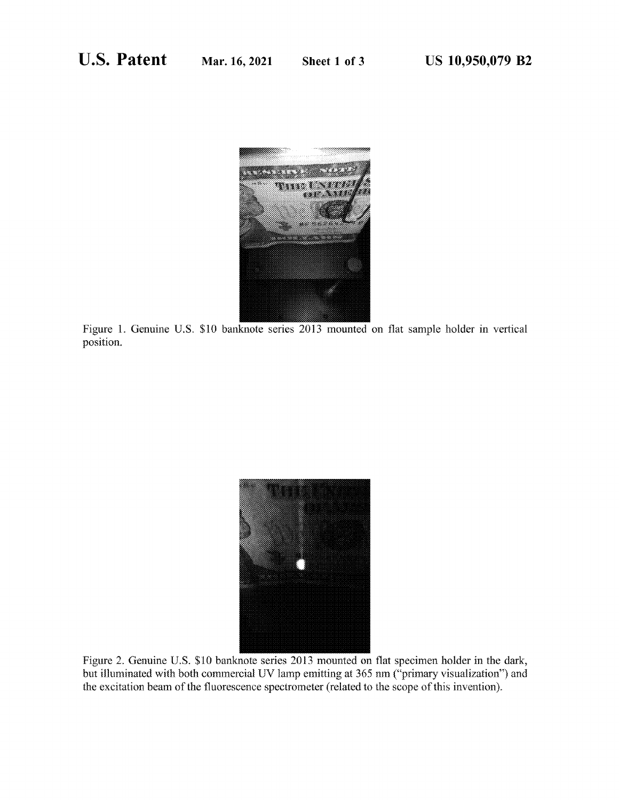

Figure 1. Genuine U.S. \$10 banknote series 2013 mounted on flat sample holder in vertical position.



Figure 2. Genuine U.S. \$10 banknote series 2013 mounted on flat specimen holder in the dark, but illuminated with both commercial UV lamp emitting at 365 nm ("primary visualization") and the excitation beam of the fluorescence spectrometer (related to the scope of this invention).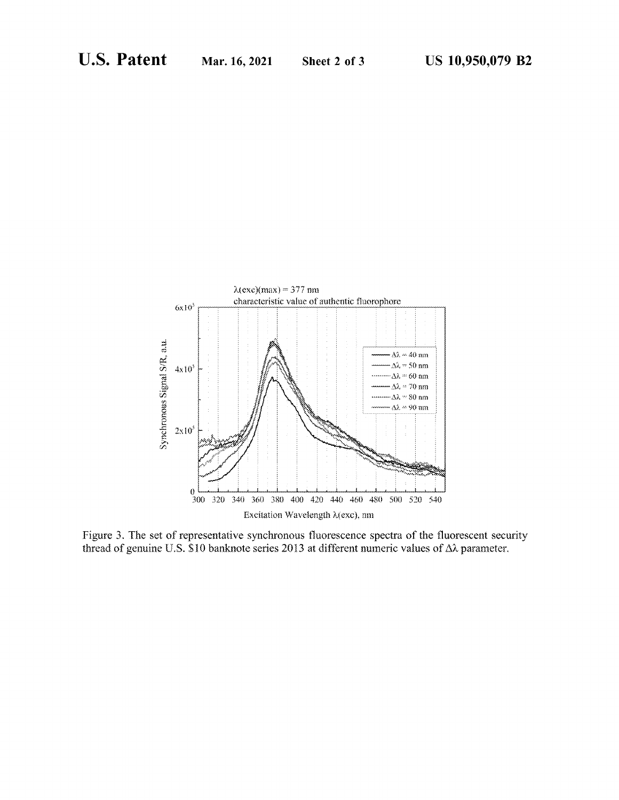

Figure 3. The set of representative synchronous fluorescence spectra of the fluorescent security thread of genuine U.S. \$10 banknote series 2013 at different numeric values of  $\Delta\lambda$  parameter.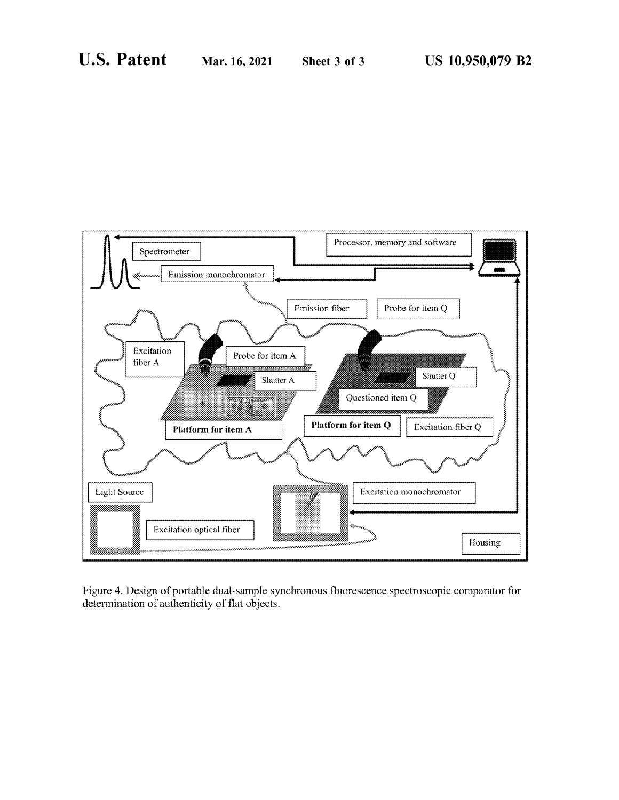

Figure 4. Design of portable dual-sample synchronous fluorescence spectroscopic comparator for determination of authenticity of flat objects .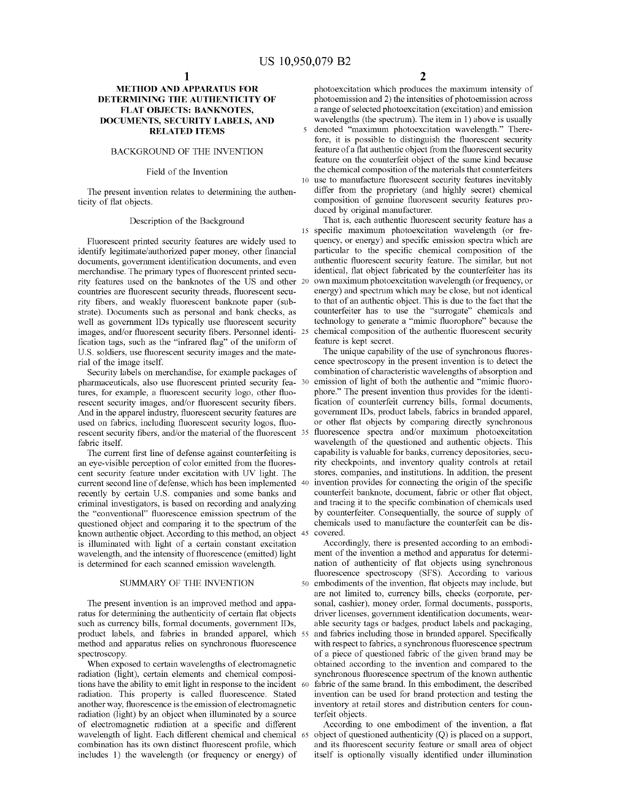merchandise. The primary types of fluorescent printed secu-<br>identical, flat object fabricated by the counterfeiter has its<br>rity features used on the banknotes of the US and other 20 own maximum photoexcitation wavelength ( countries are fluorescent security threads, fluorescent secu-<br>rity interval spectrum which may be close, but not identical<br>rity fibers, and weakly fluorescent banknote paper (sub-<br>to that of an authentic object. This is du rity fibers, and weakly fluorescent banknote paper (sub-<br>strate). Documents such as personal and bank checks, as counterfeiter has to use the "surrogate" chemicals and well as government IDs typically use fluorescent security<br>intechnology to generate a "mimic fluorophore" because the<br>images, and/or fluorescent security fibers. Personnel identi- 25 chemical composition of the authentic fl

pharmaceuticals, also use fluorescent printed security fea- 30 tures, for example, a fluorescent security logo, other fluotures, for example, a fluorescent security logo, other fluo-<br>rescent invention thus provides for the identi-<br>rescent security images, and/or fluorescent security fibers.<br>fication of counterfeit currency bills, formal docum

an eye-visible perception of color emitted from the fluores-<br>
ent security feature under excitation with UV light. The stores, companies, and institutions. In addition, the present current second line of defense, which has been implemented 40 invention provides for connecting the origin of the specific<br>recently by certain U.S. companies and some banks and<br>counterfeit banknote, document, fabric or oth the "conventional" fluorescence emission spectrum of the by counterfeiter. Consequentially, the source of supply of questioned object and comparing it to the spectrum of the chemicals used to manufacture the counterfeit ca questioned object and comparing it to the spectrum of the chemical known authentic object. According to this method, an object 45 covered.

When exposed to certain wavelengths of electromagnetic radiation (light), certain elements and chemical compositions have the ability to emit light in response to the incident 60 fabric of the same brand. In this embodiment, the described radiation. This property is called fluorescence. Stated invention can be used for brand protec radiation. This property is called fluorescence. Stated another way, fluorescence is the emission of electromagnetic another way, fluorescence is the emission of electromagnetic inventory at retail stores and distribution centers for coun-<br>radiation (light) by an object when illuminated by a source terfeit objects. radiation (light) by an object when illuminated by a source<br>of electromagnetic radiation at a specific and different<br>wavelength of light. Each different chemical and chemical 65 object of questioned authenticity (Q) is pla

 $1$  2

**METHOD AND APPARATUS FOR** photoexcitation which produces the maximum intensity of **DETERMINING THE AUTHENTICITY OF** photoemission and 2) the intensities of photoemission across **ERMINING THE AUTHENTICITY OF** photoemission and 2) the intensities of photoemission across<br> **FLAT OBJECTS: BANKNOTES.** a range of selected photoexcitation (excitation) and emission FLAT OBJECTS: BANKNOTES,<br>  $\begin{array}{ccc}\n\text{a range of selected photocitation (excitation) and emission} \\
\text{DOCUMENTS, SECURITY LABELS, AND\n\end{array}$   $\begin{array}{ccc}\n\text{a range of selected photocitation (excitation) and emission} \\
\text{wavelengths (the spectrum).} \quad\text{The item in 1) above is usually}\n\end{array}$ **TS, SECURITY LABELS, AND** wavelengths (the spectrum). The item in 1) above is usually **RELATED ITEMS** s denoted "maximum photoexcitation wavelength." Theredenoted "maximum photoexcitation wavelength." Therefore, it is possible to distinguish the fluorescent security feature of a flat authentic object from the fluorescent security BACKGROUND OF THE INVENTION feature of a flat authentic object from the fluorescent security<br>feature on the counterfeit object of the same kind because<br>Field of the Invention the chemical composition of the materials that field the chemical composition of the materials that counterfeiters<br>10 use to manufacture fluorescent security features inevitably The present invention relates to determining the authen-<br>ticity features incorposition of genuine fluorescent security features pro-<br>ticity of flat objects. ticity of the exercise term of the Background and the Succed by original manufacturer.<br>
That is, each authentic fluorescent security feature has a

15 specific maximum photoexcitation wavelength (or frequency, or energy) and specific emission spectra which are Fluorescent printed security features are widely used to quency, or energy) and specific emission spectra which are identify legitimate/authorized paper money, other financial particular to the specific chemical compositio

cence spectroscopy in the present invention is to detect the combination of characteristic wavelengths of absorption and Security labels on merchandise, for example packages of combination of characteristic wavelengths of absorption and<br>narmaceuticals, also use fluorescent printed security fea- 30 emission of light of both the authentic and And in the apparel industry, fluorescent security features are<br>used on fabrics, including fluorescent security logos, fluo-<br>r other flat objects by comparing directly synchronous<br>rescent security fibers, and/or the materia The current first line of defense against counterfeiting is capability is valuable for banks, currency depositories, secu-<br>eye-visible perception of color emitted from the fluores-<br>ity checkpoints, and inventory quality co

is illuminated with light of a certain constant excitation Accordingly, there is presented according to an embodi-<br>wavelength, and the intensity of fluorescence (emitted) light ment of the invention a method and apparatus 50 embodiments of the invention, flat objects may include, but are not limited to, currency bills, checks (corporate, per-The present invention is an improved method and appa-<br>sonal, cashier), money order, formal documents, passports,<br>ratus for determining the authenticity of certain flat objects<br>such as currency bills, formal documents, gove product labels, and fabrics in branded apparel, which 55 and fabrics including those in branded apparel. Specifically<br>method and apparatus relies on synchronous fluorescence<br>spectroscopy.<br>of a piece of questioned fabric of synchronous fluorescence spectrum of the known authentic fabric of the same brand. In this embodiment, the described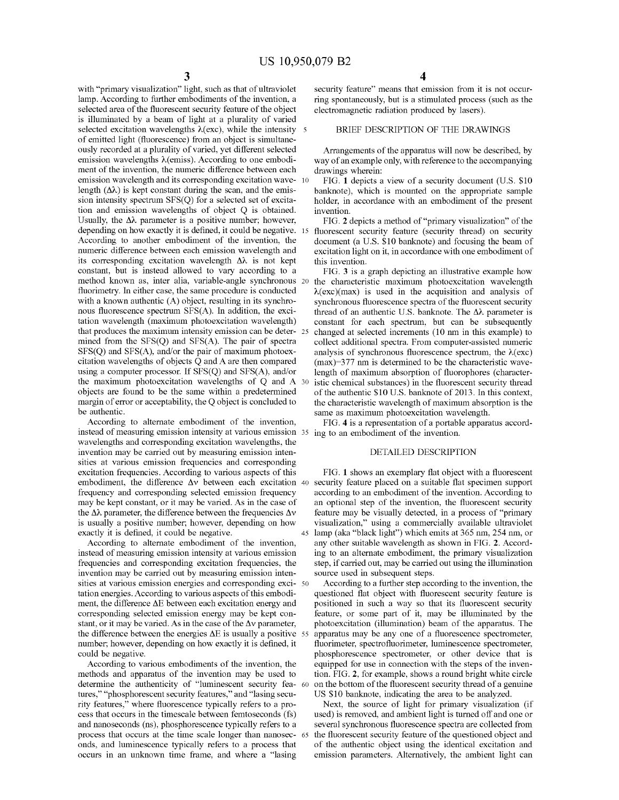lamp. According to further embodiments of the invention, a ring spontaneously, but is a stimulated process (such as the selected area of the fluorescent security feature of the object electromagnetic radiation produced by is illuminated by a beam of light at a plurality of varied<br>selected excitation wavelengths  $\lambda$ (exc), while the intensity 5<br>BRIEF DESCRIPTION OF THE DRAWINGS of emitted light (fluorescence) from an object is simultane-<br>ously recorded at a plurality of varied, yet different selected ously recorded at a plurality of varied, yet different selected Arrangements of the apparatus will now be described, by emission wavelengths  $\lambda$ (emiss). According to one embodi-<br>method is way of an example only, with ref emission wavelength and its corresponding excitation wave- 10 FIG. 1 depicts a view of a security document (U.S. \$10 length  $(\Delta \lambda)$  is kept constant during the scan, and the emis-<br>banknote), which is mounted on the approp length (Δ $\lambda$ ) is kept constant during the scan, and the emis-<br>sion intensity spectrum SFS(Q) for a selected set of excita-<br>tion and emission wavelengths of object Q is obtained.<br>Usually, the Δ $\lambda$  parameter is a positiv method known as, inter alia, variable-angle synchronous 20 the characteristic maximum photoexcitation wavelength<br>fluorimetry. In either case, the same procedure is conducted  $\lambda(exc)(max)$  is used in the acquisition and analys with a known authentic (A) object, resulting in its synchro-<br>nous fluorescence spectrum SFS(A). In addition, the exci-<br>thread of an authentic U.S. banknote. The  $\Delta\lambda$  parameter is tation wavelength (maximum photoexcitation wavelength) constant for each spectrum, but can be subsequently<br>that produces the maximum intensity emission can be deter- 25 changed at selected increments (10 nm in this example mined from the SFS(Q) and SFS(A). The pair of spectra collect additional spectra. From computer-assisted numeric SFS(Q) and SFS(A), and/or the pair of maximum photoex-<br>analysis of synchronous fluorescence spectrum, the  $\$ citation wavelengths of objects  $\overline{Q}$  and A are then compared (max)=377 nm is determined to be the characteristic wave-<br>using a computer processor. If SFS( $Q$ ) and SFS( $A$ ), and/or length of maximum absorption of fluor using a computer processor. If  $SFS(Q)$  and  $SFS(A)$ , and/or length of maximum absorption of fluorophores (character-<br>the maximum photoexcitation wavelengths of Q and A  $30$  istic chemical substances) in the fluorescent secur the maximum photoexcitation wavelengths of Q and A  $30$  istic chemical substances) in the fluorescent security thread objects are found to be the same within a predetermined of the authentic \$10 U.S. banknote of 2013. In margin of error or acceptability, the Q object is concluded to the characteristic wavelength of maximum absorption is the be authentic.

According to alternate embodiment of the invention, FIG. 4 is a representation of a portable apparatus accordinated of measuring emission intensity at various emission 35 ing to an embodiment of the invention.<br>wavelengths invention may be carried out by measuring emission intensities at various emission frequencies and corresponding excitation frequencies. According to various aspects of this FIG. 1 shows an exemplary flat object with a fluorescent<br>embodiment, the difference Δv between each excitation 40 security feature placed on a suitable flat spe

frequencies and corresponding excitation frequencies, the step, if carried out, may be carried out using the illumination invention may be carried out by measuring emission intensity source used in subsequent steps. sities at various emission energies and corresponding exci- so According to a further step according to the invention, the tation energies. According to various aspects of this embodi- questioned flat object with fluoresce tation energies. According to various aspects of this embodi-<br>ment, the difference  $\Delta E$  between each excitation energy and positioned in such a way so that its fluorescent security corresponding selected emission energy may be kept con-<br>stature, or some part of it, may be illuminated by the<br>stant, or it may be varied. As in the case of the  $\Delta v$  parameter,<br>botoexcitation (illumination) beam of the a stant, or it may be varied. As in the case of the  $\Delta v$  parameter, photoexcitation (illumination) beam of the apparatus. The the difference between the energies  $\Delta E$  is usually a positive 55 apparatus may be any one of a

According to various embodiments of the invention, the equipped for use in connection with the steps of the inventionds and apparatus of the invention may be used to tion. FIG. 2, for example, shows a round bright white ci methods and apparatus of the invention may be used to tion. FIG. 2, for example, shows a round bright white circle determine the authenticity of "luminescent security fea-  $\omega$  on the bottom of the fluorescent security thr tures," "phosphorescent security features," and "lasing secu-<br>rity features," where fluorescence typically refers to a pro-<br>rity features," where fluorescence typically refers to a pro-<br>Next, the source of light for primar and nanoseconds (ns), phosphorescence typically refers to a process that occurs at the time scale longer than nanosec-65 process that occurs at the time scale longer than nanosec- 65 the fluorescent security feature of the questioned object and onds, and luminescence typically refers to a process that of the authentic object using the identi onds, and luminescence typically refers to a process that of the authentic object using the identical excitation and occurs in an unknown time frame, and where a "lasing emission parameters. Alternatively, the ambient ligh

with " primary visualization" light, such as that of ultraviolet security feature" means that emission from it is not occur-<br>lamp. According to further embodiments of the invention, a ring spontaneously, but is a stimulate

the  $\Delta\lambda$  parameter, the difference between the frequencies  $\Delta v$  feature may be visually detected, in a process of "primary is usually a positive number; however, depending on how visualization," using a commercially av exactly it is defined, it could be negative. 45 lamp (aka "black light") which emits at 365 nm, 254 nm, or According to alternate embodiment of the invention, any other suitable wavelength as shown in FIG. 2. Accord-According to alternate embodiment of the invention, any other suitable wavelength as shown in FIG. 2. Accordinated of measuring emission intensity at various emission ing to an alternate embodiment, the primary visualizati

number; however, depending on how exactly it is defined, it<br>cold be negative.<br>phosphorescence spectrometer, uminescence spectrometer,<br>could be negative.<br>According to various embodiments of the invention, the<br>quipped for us

used) is removed, and ambient light is turned off and one or<br>several synchronous fluorescence spectra are collected from emission parameters. Alternatively, the ambient light can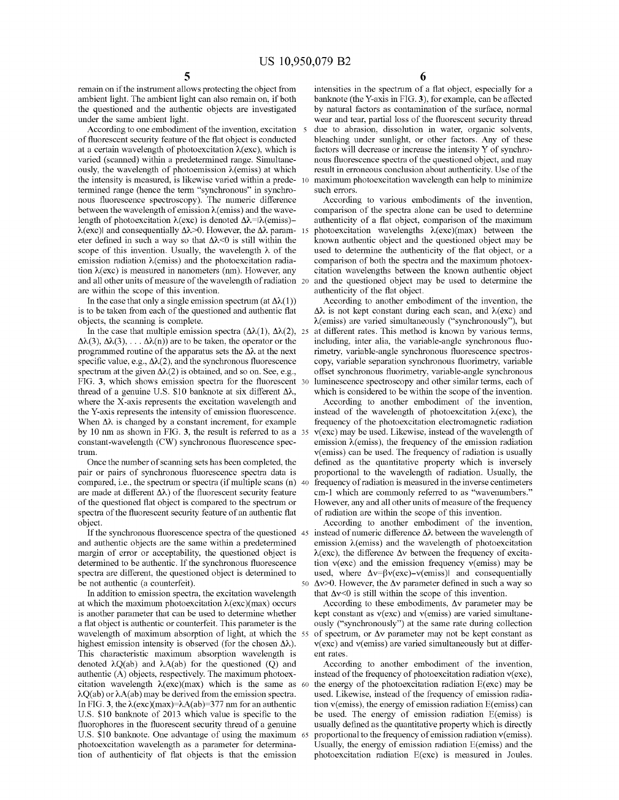of fluorescent security feature of the flat object is conducted bleaching under sunlight, or other factors. Any of these at a certain wavelength of photoexcitation  $\lambda$ (exc), which is factors will decrease or increase the varied (scanned) within a predetermined range. Simultane-<br>ous fluorescence spectra of the questioned object, and may<br>ously, the wavelength of photoemission  $\lambda$ (emiss) at which<br>the intensity is measured, is likewise varied termined range (hence the term "synchronous" in synchro-<br>nous fluorescence spectroscopy). The numeric difference<br>between the wavelength of emission  $\lambda$ (emiss) and the wave-<br>length of photoexcitation  $\lambda$ (exc) is denoted  $\lambda$ (exc) and consequentially  $\Delta\lambda$  > 0. However, the  $\Delta\lambda$  param- 15 eter defined in such a way so that  $\Delta\lambda$  < 0 is still within the eter defined in such a way so that  $\Delta \lambda \le 0$  is still within the known authentic object and the questioned object may be scope of this invention. Usually, the wavelength  $\lambda$  of the used to determine the authenticity of scope of this invention. Usually, the wavelength  $\lambda$  of the used to determine the authenticity of the flat object, or a emission radiation  $\lambda$ (emiss) and the photoexcitation radia-<br>comparison of both the spectra and the tion  $\lambda$ (exc) is measured in nanometers (nm). However, any citation wavelengths between the known authentic object and all other units of measure of the wavelength of radiation 20 and the questioned object may be used to

 $\Delta\lambda(3)$ ,  $\Delta\lambda(3)$ ,  $\ldots \Delta\lambda(n)$  are to be taken, the operator or the including, inter alia, the variable-angle synchronous fluo-<br>programmed routine of the apparatus sets the  $\Delta\lambda$  at the next rimetry, variable-angle sy specific value, e.g.,  $\Delta\lambda(2)$ , and the synchronous fluorescence copy, variable separation synchronous fluorimetry, variable spectrum at the given  $\Delta\lambda(2)$  is obtained, and so on. See, e.g., offset synchronous fluorimet FIG. 3, which shows emission spectra for the fluorescent 30 luminescence spectroscopy and other similar terms, each of thread of a genuine U.S. \$10 banknote at six different  $\Delta\lambda$ , which is considered to be within the sc where the X-axis represents the excitation wavelength and<br>the Y-axis represents the intensity of emission fluorescence. Instead of the wavelength of photoexcitation  $\lambda$ (exc), the<br>When  $\Delta\lambda$  is changed by a constant incr by 10 nm as shown in FIG. 3, the result is referred to as a 35  $v(exc)$  may be used. Likewise, instead of the wavelength of constant-wavelength (CW) synchronous fluorescence spec-<br>emission  $\lambda$ (emiss), the frequency of the constant-wavelength (CW) synchronous fluorescence spec-<br>  $v$ (emiss) can be used. The frequency of radiation is usually<br>  $v$ (emiss) can be used. The frequency of radiation is usually

are made at different  $\Delta \lambda$ ) of the fluorescent security feature cm -1 which are commonly referred to as "wavenumbers." of the questioned flat object is compared to the spectrum or However, any and all other units of mea of the questioned flat object is compared to the spectrum or<br>spectra of the fluorescent security feature of an authentic flat of radiation are within the scope of this invention.

margin of error or acceptability, the questioned object is  $\lambda$ (exc), the difference  $\Delta v$  between the frequency of excita-<br>determined to be authentic. If the synchronous fluorescence tion  $v$ (exc) and the emission freque determined to be authentic. If the synchronous fluorescence tion  $v(exc)$  and the emission frequency  $v$ (emiss) may be spectra are different, the questioned object is determined to used, where  $\Delta v = \beta v(exc) - v$ (emiss) and cons

at which the maximum photoexcitation  $\lambda(exc)(max)$  occurs According to these embodiments,  $\Delta v$  parameter may be is another parameter that can be used to determine whether kept constant as  $v(exc)$  and  $v(emiss)$  are varied simult is another parameter that can be used to determine whether kept constant as  $v(ex)$  and  $v$  (emiss) are varied simultane-<br>a flat object is authentic or counterfeit. This parameter is the ously ("synchronously") at the same wavelength of maximum absorption of light, at which the 55 of spectrum, or  $\Delta v$  parameter may not be kept constant as highest emission intensity is observed (for the chosen  $\Delta \lambda$ ).  $v(exc)$  and  $v$ (emiss) are varied simul mightest emission intensity is observed (for the chosen  $\Delta \lambda$ ).  $v(exc)$  and v(emiss) are varied simultaneously but at different This characteristic maximum absorption wavelength is denoted  $\lambda Q(ab)$  and  $\lambda A(ab)$  for the ques  $\lambda$ Q(ab) or  $\lambda$ A(ab) may be derived from the emission spectra. used. Likewise, instead of the frequency of emission radia-<br>In FIG. 3, the  $\lambda$ (exc)(max)= $\lambda$ A(ab)=377 nm for an authentic tion v(emiss), the energy of emi In FIG. 3, the  $\lambda(exc)(max)=\lambda A(ab)=377$  nm for an authentic tion v (emiss), the energy of emission radiation E (emiss) can U.S. \$10 banknote of 2013 which value is specific to the be used. The energy of emission radiation E (emi U.S. \$10 banknote of 2013 which value is specific to the be used. The energy of emission radiation E(emiss) is<br>fluorophores in the fluorescent security thread of a genuine usually defined as the quantitative property which

remain on if the instrument allows protecting the object from intensities in the spectrum of a flat object, especially for a ambient light. The ambient light can also remain on, if both banknote (the Y-axis in FIG. 3), for ambient light. The ambient light can also remain on, if both banknote (the Y-axis in FIG. 3), for example, can be affected the questioned and the authentic objects are investigated by natural factors as contamination of th the questioned and the authentic objects are investigated by natural factors as contamination of the surface, normal<br>wear and tear, partial loss of the fluorescent security thread der the same ambient light.<br>According to one embodiment of the invention, excitation 5 due to abrasion, dissolution in water, organic solvents,

In the case that only a single emission spectrum (at  $\Delta \lambda(1)$ ) According to another embodiment of the invention, the is to be taken from each of the questioned and authentic flat  $\Delta \lambda$  is not kept constant during each s objects, the scanning is complete.<br>In the case that multiple emission spectra  $(\Delta \lambda(1), \Delta \lambda(2), 25)$  at different rates. This method is known by various terms, offset synchronous fluorimetry, variable-angle synchronous luminescence spectroscopy and other similar terms, each of

frequency of the photoexcitation electromagnetic radiation  $v(exc)$  may be used. Likewise, instead of the wavelength of Once the number of scanning sets has been completed, the defined as the quantitative property which is inversely<br>pair or pairs of synchronous fluorescence spectra data is proportional to the wavelength of radiation. Usual

object. According to another embodiment of the invention,<br>If the synchronous fluorescence spectra of the questioned 45 instead of numeric difference  $\Delta\lambda$  between the wavelength of<br>and authentic objects are the same with be not authentic (a counterfeit).<br>  $50 \text{ A}v > 0$ . However, the  $\Delta v$  parameter defined in such a way so<br>
In addition to emission spectra, the excitation wavelength<br>
that  $\Delta v < 0$  is still within the scope of this inventio

ously ("synchronously") at the same rate during collection of spectrum, or  $\Delta v$  parameter may not be kept constant as

U.S. \$10 banknote. One advantage of using the maximum 65 proportional to the frequency of emission radiation v(emiss).<br>photoexcitation wavelength as a parameter for determina-<br>tion of authenticity of flat objects is that t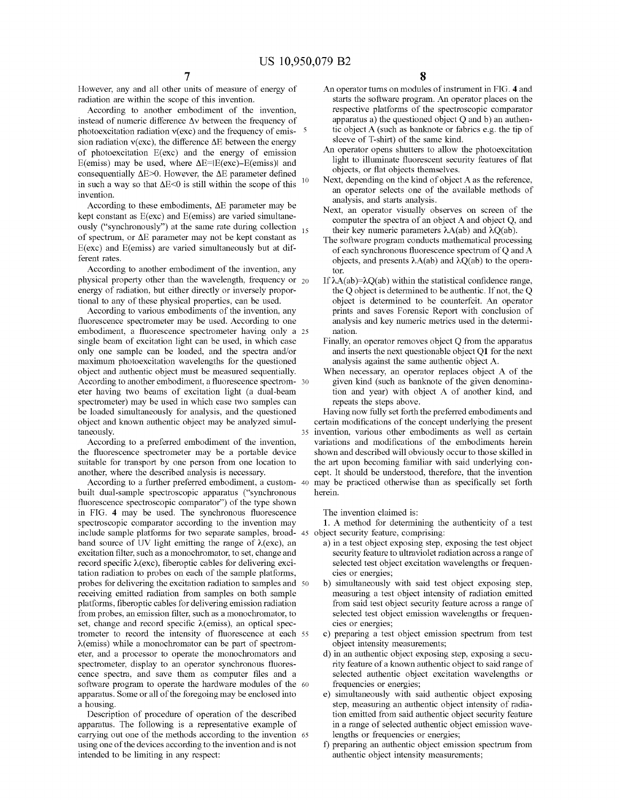However, any and all other units of measure of energy of radiation are within the scope of this invention.

According to another embodiment of the invention, instead of numeric difference  $\Delta v$  between the frequency of photoexcitation radiation  $v(exc)$  and the frequency of emis-  $\frac{5}{2}$ sion radiation  $v(exc)$ , the difference  $\Delta E$  between the energy of photoexcitation E(exc) and the energy of emission E(emiss) may be used, where  $\Delta E = |E(exc) - E$ (emiss) and consequentially  $\Delta E > 0$ . However, the  $\Delta E$  parameter defined 10 in such a way so that  $\Delta E \le 0$  is still within the scope of this invention.

According to these embodiments,  $\Delta E$  parameter may be kept constant as E(exc) and E(emiss) are varied simultaneously ("synchronously") at the same rate during collection  $_{15}$ of spectrum, or  $\Delta E$  parameter may not be kept constant as  $E(exc)$  and  $E(emiss)$  are varied simultaneously but at different rates.

According to another embodiment of the invention, any physical property other than the wavelength, frequency or  $_{20}$ energy of radiation, but either directly or inversely proportional to any of these physical properties, can be used.

According to various embodiments of the invention, any fluorescence spectrometer may be used. According to one embodiment, a fluorescence spectrometer having only a 25 single beam of excitation light can be used, in which case only one sample can be loaded, and the spectra and/or maximum photoexcitation wavelengths for the questioned object and authentic object must be measured sequentially. According to another embodiment, a fluorescence spectrom- 30 eter having two beams of excitation light (a dual-beam spectrometer) may be used in which case two samples can be loaded simultaneously for analysis, and the questioned object and known authentic object may be analyzed simultaneously.  $35<sup>2</sup>$ 

According to a preferred embodiment of the invention, the fluorescence spectrometer may be a portable device suitable for transport by one person from one location to another, where the described analysis is necessary.

According to a further preferred embodiment, a custom-40 built dual-sample spectroscopic apparatus ("synchronous fluorescence spectroscopic comparator") of the type shown in FIG. 4 may be used. The synchronous fluorescence spectroscopic comparator according to the invention may include sample platforms for two separate samples, broad-45 object security feature, comprising: band source of UV light emitting the range of  $\lambda$ (exc), an excitation filter, such as a monochromator, to set, change and record specific  $\lambda$ (exc), fiberoptic cables for delivering excitation radiation to probes on each of the sample platforms, probes for delivering the excitation radiation to samples and 50 receiving emitted radiation from samples on both sample platforms, fiberoptic cables for delivering emission radiation from probes, an emission filter, such as a monochromator, to set, change and record specific  $\lambda$ (emiss), an optical spectrometer to record the intensity of fluorescence at each 55  $\lambda$ (emiss) while a monochromator can be part of spectrometer, and a processor to operate the monochromators and spectrometer, display to an operator synchronous fluorescence spectra, and save them as computer files and a software program to operate the hardware modules of the 60 apparatus. Some or all of the foregoing may be enclosed into a housing.

Description of procedure of operation of the described apparatus. The following is a representative example of carrying out one of the methods according to the invention 65 using one of the devices according to the invention and is not intended to be limiting in any respect:

- An operator turns on modules of instrument in FIG. 4 and starts the software program. An operator places on the respective platforms of the spectroscopic comparator apparatus a) the questioned object  $Q$  and  $b$ ) an authentic object A (such as banknote or fabrics e.g. the tip of sleeve of T-shirt) of the same kind.
- An operator opens shutters to allow the photoexcitation light to illuminate fluorescent security features of flat objects, or flat objects themselves.
- Next, depending on the kind of object A as the reference, an operator selects one of the available methods of analysis, and starts analysis.
- Next, an operator visually observes on screen of the computer the spectra of an object A and object Q, and their key numeric parameters  $\lambda A(ab)$  and  $\lambda Q(ab)$ .
- The software program conducts mathematical processing of each synchronous fluorescence spectrum of Q and A objects, and presents  $\lambda A(ab)$  and  $\lambda Q(ab)$  to the operator
- If  $\lambda A(ab) = \lambda O(ab)$  within the statistical confidence range. the Q object is determined to be authentic. If not, the Q object is determined to be counterfeit. An operator prints and saves Forensic Report with conclusion of analysis and key numeric metrics used in the determination.
- Finally, an operator removes object Q from the apparatus and inserts the next questionable object Q1 for the next analysis against the same authentic object A.
- When necessary, an operator replaces object A of the given kind (such as banknote of the given denomination and year) with object A of another kind, and repeats the steps above.

Having now fully set forth the preferred embodiments and certain modifications of the concept underlying the present invention, various other embodiments as well as certain variations and modifications of the embodiments herein shown and described will obviously occur to those skilled in the art upon becoming familiar with said underlying concept. It should be understood, therefore, that the invention may be practiced otherwise than as specifically set forth herein.

The invention claimed is:

1. A method for determining the authenticity of a test

- a) in a test object exposing step, exposing the test object security feature to ultraviolet radiation across a range of selected test object excitation wavelengths or frequencies or energies;
- b) simultaneously with said test object exposing step, measuring a test object intensity of radiation emitted from said test object security feature across a range of selected test object emission wavelengths or frequencies or energies;
- c) preparing a test object emission spectrum from test object intensity measurements;
- d) in an authentic object exposing step, exposing a security feature of a known authentic object to said range of selected authentic object excitation wavelengths or frequencies or energies;
- e) simultaneously with said authentic object exposing step, measuring an authentic object intensity of radiation emitted from said authentic object security feature in a range of selected authentic object emission wavelengths or frequencies or energies;
- f) preparing an authentic object emission spectrum from authentic object intensity measurements;